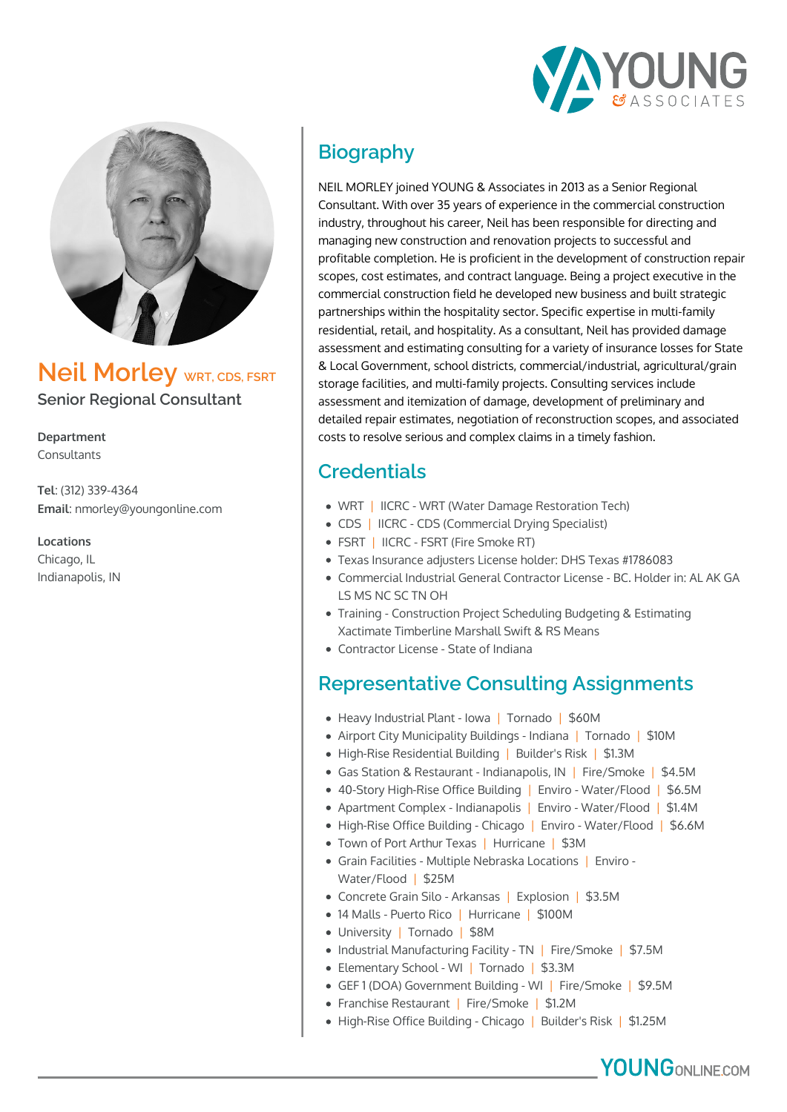



**Neil Morley** WRT, CDS, FSRT **Senior Regional Consultant**

**Department** Consultants

**Tel**: (312) 339-4364 **Email**: nmorley@youngonline.com

**Locations** Chicago, IL Indianapolis, IN

# **Biography**

NEIL MORLEY joined YOUNG & Associates in 2013 as a Senior Regional Consultant. With over 35 years of experience in the commercial construction industry, throughout his career, Neil has been responsible for directing and managing new construction and renovation projects to successful and profitable completion. He is proficient in the development of construction repair scopes, cost estimates, and contract language. Being a project executive in the commercial construction field he developed new business and built strategic partnerships within the hospitality sector. Specific expertise in multi-family residential, retail, and hospitality. As a consultant, Neil has provided damage assessment and estimating consulting for a variety of insurance losses for State & Local Government, school districts, commercial/industrial, agricultural/grain storage facilities, and multi-family projects. Consulting services include assessment and itemization of damage, development of preliminary and detailed repair estimates, negotiation of reconstruction scopes, and associated costs to resolve serious and complex claims in a timely fashion.

## **Credentials**

- WRT | IICRC WRT (Water Damage Restoration Tech)
- CDS | IICRC CDS (Commercial Drying Specialist)
- FSRT | IICRC FSRT (Fire Smoke RT)
- Texas Insurance adjusters License holder: DHS Texas #1786083
- Commercial Industrial General Contractor License BC. Holder in: AL AK GA LS MS NC SC TN OH
- Training Construction Project Scheduling Budgeting & Estimating Xactimate Timberline Marshall Swift & RS Means
- Contractor License State of Indiana

#### **Representative Consulting Assignments**

- Heavy Industrial Plant Iowa | Tornado | \$60M
- Airport City Municipality Buildings Indiana | Tornado | \$10M
- High-Rise Residential Building | Builder's Risk | \$1.3M
- Gas Station & Restaurant Indianapolis, IN | Fire/Smoke | \$4.5M
- 40-Story High-Rise Office Building | Enviro Water/Flood | \$6.5M
- Apartment Complex Indianapolis | Enviro Water/Flood | \$1.4M
- High-Rise Office Building Chicago | Enviro Water/Flood | \$6.6M
- Town of Port Arthur Texas | Hurricane | \$3M
- Grain Facilities Multiple Nebraska Locations | Enviro Water/Flood | \$25M
- Concrete Grain Silo Arkansas | Explosion | \$3.5M
- 14 Malls Puerto Rico | Hurricane | \$100M
- University | Tornado | \$8M
- Industrial Manufacturing Facility TN | Fire/Smoke | \$7.5M
- Elementary School WI | Tornado | \$3.3M
- GEF 1 (DOA) Government Building WI | Fire/Smoke | \$9.5M
- Franchise Restaurant | Fire/Smoke | \$1.2M
- High-Rise Office Building Chicago | Builder's Risk | \$1.25M